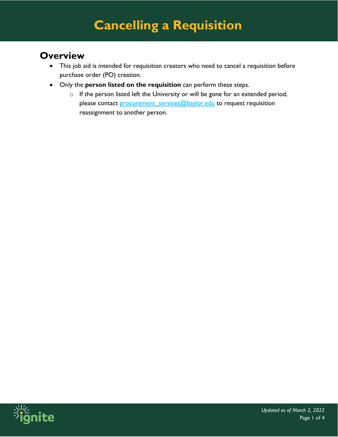#### **Overview**

- This job aid is intended for requisition creators who need to cancel a requisition before purchase order (PO) creation.
- Only the **person listed on the requisition** can perform these steps.
	- $\circ$  If the person listed left the University or will be gone for an extended period, please contact [procurement\\_services@baylor.edu](mailto:procurement_services@baylor.edu) to request requisition reassignment to another person.

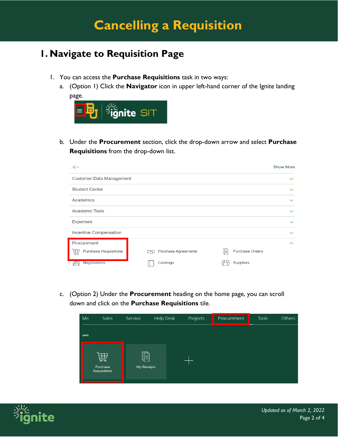### **1. Navigate to Requisition Page**

- 1. You can access the **Purchase Requisitions** task in two ways:
	- a. (Option 1) Click the **Navigator** icon in upper left-hand corner of the Ignite landing page.



b. Under the **Procurement** section, click the drop-down arrow and select **Purchase Requisitions** from the drop-down list.

|                                   |                            | <b>Show More</b>     |
|-----------------------------------|----------------------------|----------------------|
| Customer Data Management          |                            | $\checkmark$         |
| <b>Student Center</b>             |                            | $\checkmark$         |
| Academics                         |                            | $\checkmark$         |
| Academic Tools                    |                            | $\checkmark$         |
| <b>Expenses</b>                   |                            | $\checkmark$         |
| Incentive Compensation            |                            | $\checkmark$         |
| Procurement                       |                            | $\sim$               |
| <b>Purchase Requisitions</b><br>孟 | Purchase Agreements<br>じょく | Purchase Orders<br>⊪ |
| Negotiations                      | Catalogs                   | Suppliers            |

c. (Option 2) Under the **Procurement** heading on the home page, you can scroll down and click on the **Purchase Requisitions** tile.

| Me          | <b>Sales</b>                  | Service          | Help Desk | Projects | Procurement | <b>Tools</b> | Others |
|-------------|-------------------------------|------------------|-----------|----------|-------------|--------------|--------|
| <b>APPS</b> |                               |                  |           |          |             |              |        |
|             | 曲<br>Purchase<br>Requisitions | 屓<br>My Receipts |           |          |             |              |        |

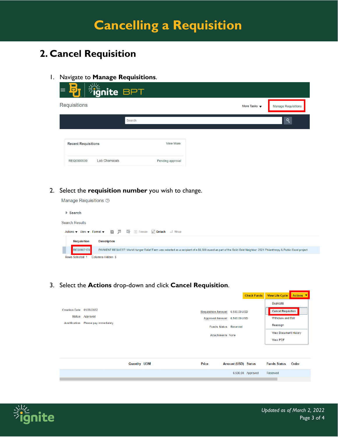## **2. Cancel Requisition**

1. Navigate to **Manage Requisitions**.

| <b>Fignite BPT</b><br>$\Box$<br>$\equiv$ |                  |                                 |                            |
|------------------------------------------|------------------|---------------------------------|----------------------------|
| Requisitions                             |                  | More Tasks $\blacktriangledown$ | <b>Manage Requisitions</b> |
| Search                                   |                  |                                 | Q                          |
| <b>Recent Requisitions</b>               | <b>View More</b> |                                 |                            |
| <b>Lab Chemicals</b><br>REQ0000530       | Pending approval |                                 |                            |

#### 2. Select the **requisition number** you wish to change.

Manage Requisitions 2



3. Select the **Actions** drop-down and click **Cancel Requisition**.

|                                       |                         |                     |                                 | <b>CHECK FUNDS</b>  | <b>VIEW LITE CYCLE ACTIONS</b> |  |
|---------------------------------------|-------------------------|---------------------|---------------------------------|---------------------|--------------------------------|--|
|                                       |                         |                     |                                 |                     | <b>Duplicate</b>               |  |
| Creation Date 01/28/2022              |                         |                     | Requisition Amount 6,500.00 USD |                     | <b>Cancel Requisition</b>      |  |
|                                       | Status Approved         |                     | Approval Amount 6,500.00 USD    |                     | Withdraw and Edit              |  |
| Justification Please pay immediately. |                         |                     | <b>Funds Status Reserved</b>    |                     | Reassign                       |  |
|                                       | <b>Attachments None</b> |                     | <b>View Document History</b>    |                     |                                |  |
|                                       |                         |                     |                                 |                     | <b>View PDF</b>                |  |
|                                       |                         |                     |                                 |                     |                                |  |
|                                       |                         |                     |                                 |                     |                                |  |
|                                       |                         | <b>Quantity UOM</b> | Price                           | Amount (USD) Status | <b>Funds Status</b><br>Order   |  |
|                                       |                         |                     |                                 | 6,500.00 Approved   | Reserved                       |  |